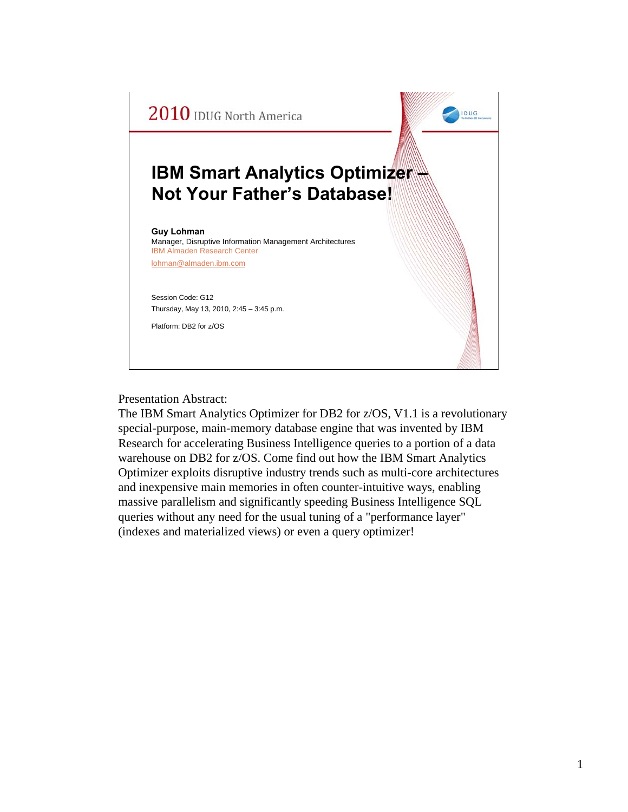

Presentation Abstract:

The IBM Smart Analytics Optimizer for DB2 for z/OS, V1.1 is a revolutionary special-purpose, main-memory database engine that was invented by IBM Research for accelerating Business Intelligence queries to a portion of a data warehouse on DB2 for z/OS. Come find out how the IBM Smart Analytics Optimizer exploits disruptive industry trends such as multi-core architectures and inexpensive main memories in often counter-intuitive ways, enabling massive parallelism and significantly speeding Business Intelligence SQL queries without any need for the usual tuning of a "performance layer" (indexes and materialized views) or even a query optimizer!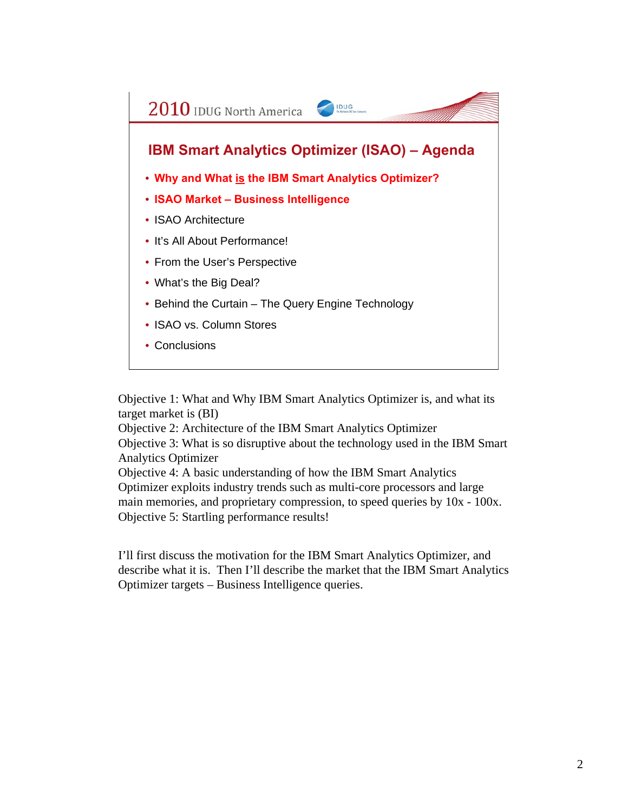

Objective 1: What and Why IBM Smart Analytics Optimizer is, and what its target market is (BI)

Objective 2: Architecture of the IBM Smart Analytics Optimizer Objective 3: What is so disruptive about the technology used in the IBM Smart Analytics Optimizer Objective 4: A basic understanding of how the IBM Smart Analytics

Optimizer exploits industry trends such as multi-core processors and large main memories, and proprietary compression, to speed queries by 10x - 100x. Objective 5: Startling performance results!

I'll first discuss the motivation for the IBM Smart Analytics Optimizer, and describe what it is. Then I'll describe the market that the IBM Smart Analytics Optimizer targets – Business Intelligence queries.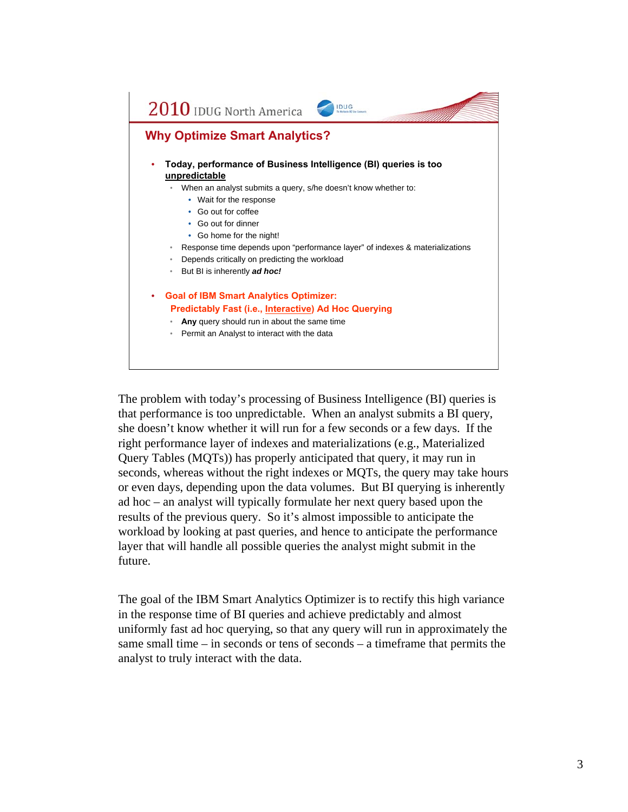

The problem with today's processing of Business Intelligence (BI) queries is that performance is too unpredictable. When an analyst submits a BI query, she doesn't know whether it will run for a few seconds or a few days. If the right performance layer of indexes and materializations (e.g., Materialized Query Tables (MQTs)) has properly anticipated that query, it may run in seconds, whereas without the right indexes or MQTs, the query may take hours or even days, depending upon the data volumes. But BI querying is inherently ad hoc – an analyst will typically formulate her next query based upon the results of the previous query. So it's almost impossible to anticipate the workload by looking at past queries, and hence to anticipate the performance layer that will handle all possible queries the analyst might submit in the future.

The goal of the IBM Smart Analytics Optimizer is to rectify this high variance in the response time of BI queries and achieve predictably and almost uniformly fast ad hoc querying, so that any query will run in approximately the same small time – in seconds or tens of seconds – a timeframe that permits the analyst to truly interact with the data.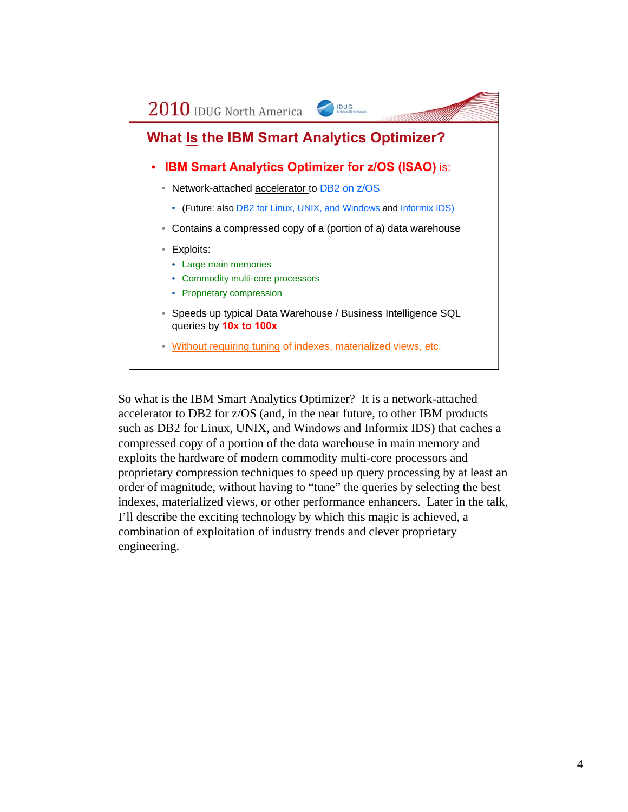

So what is the IBM Smart Analytics Optimizer? It is a network-attached accelerator to DB2 for z/OS (and, in the near future, to other IBM products such as DB2 for Linux, UNIX, and Windows and Informix IDS) that caches a compressed copy of a portion of the data warehouse in main memory and exploits the hardware of modern commodity multi-core processors and proprietary compression techniques to speed up query processing by at least an order of magnitude, without having to "tune" the queries by selecting the best indexes, materialized views, or other performance enhancers. Later in the talk, I'll describe the exciting technology by which this magic is achieved, a combination of exploitation of industry trends and clever proprietary engineering.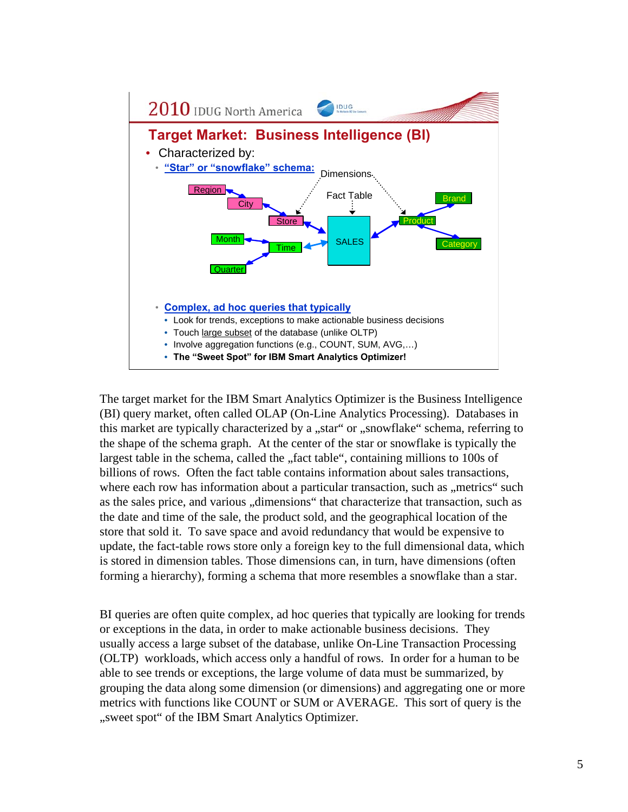

The target market for the IBM Smart Analytics Optimizer is the Business Intelligence (BI) query market, often called OLAP (On-Line Analytics Processing). Databases in this market are typically characterized by a "star" or "snowflake" schema, referring to the shape of the schema graph. At the center of the star or snowflake is typically the largest table in the schema, called the "fact table", containing millions to 100s of billions of rows. Often the fact table contains information about sales transactions, where each row has information about a particular transaction, such as "metrics" such as the sales price, and various "dimensions" that characterize that transaction, such as the date and time of the sale, the product sold, and the geographical location of the store that sold it. To save space and avoid redundancy that would be expensive to update, the fact-table rows store only a foreign key to the full dimensional data, which is stored in dimension tables. Those dimensions can, in turn, have dimensions (often forming a hierarchy), forming a schema that more resembles a snowflake than a star.

BI queries are often quite complex, ad hoc queries that typically are looking for trends or exceptions in the data, in order to make actionable business decisions. They usually access a large subset of the database, unlike On-Line Transaction Processing (OLTP) workloads, which access only a handful of rows. In order for a human to be able to see trends or exceptions, the large volume of data must be summarized, by grouping the data along some dimension (or dimensions) and aggregating one or more metrics with functions like COUNT or SUM or AVERAGE. This sort of query is the "sweet spot" of the IBM Smart Analytics Optimizer.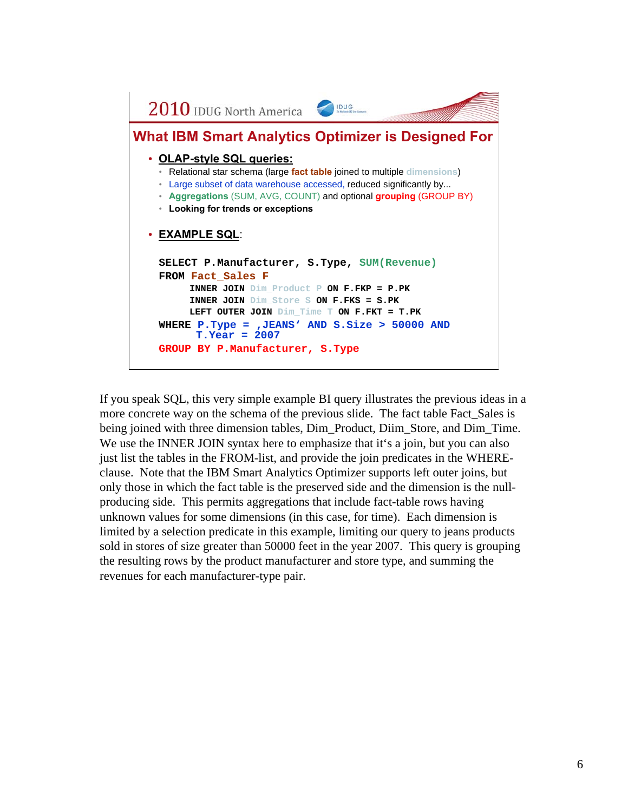

If you speak SQL, this very simple example BI query illustrates the previous ideas in a more concrete way on the schema of the previous slide. The fact table Fact\_Sales is being joined with three dimension tables, Dim\_Product, Diim\_Store, and Dim\_Time. We use the INNER JOIN syntax here to emphasize that it's a join, but you can also just list the tables in the FROM-list, and provide the join predicates in the WHEREclause. Note that the IBM Smart Analytics Optimizer supports left outer joins, but only those in which the fact table is the preserved side and the dimension is the nullproducing side. This permits aggregations that include fact-table rows having unknown values for some dimensions (in this case, for time). Each dimension is limited by a selection predicate in this example, limiting our query to jeans products sold in stores of size greater than 50000 feet in the year 2007. This query is grouping the resulting rows by the product manufacturer and store type, and summing the revenues for each manufacturer-type pair.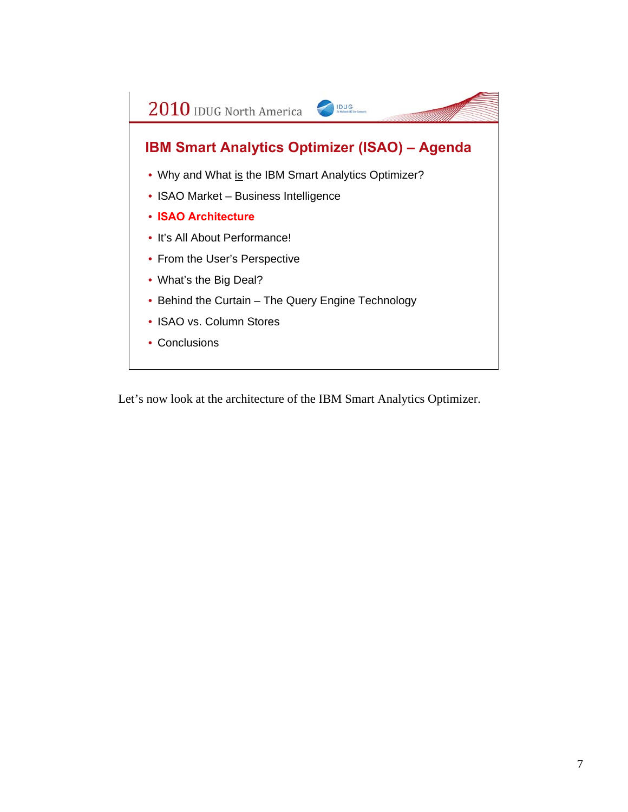

Let's now look at the architecture of the IBM Smart Analytics Optimizer.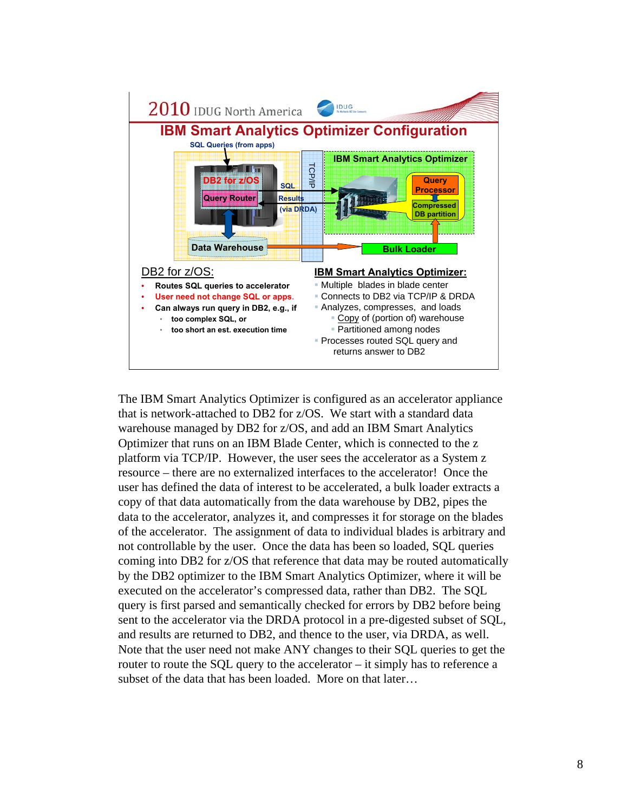

The IBM Smart Analytics Optimizer is configured as an accelerator appliance that is network-attached to DB2 for z/OS. We start with a standard data warehouse managed by DB2 for z/OS, and add an IBM Smart Analytics Optimizer that runs on an IBM Blade Center, which is connected to the z platform via TCP/IP. However, the user sees the accelerator as a System z resource – there are no externalized interfaces to the accelerator! Once the user has defined the data of interest to be accelerated, a bulk loader extracts a copy of that data automatically from the data warehouse by DB2, pipes the data to the accelerator, analyzes it, and compresses it for storage on the blades of the accelerator. The assignment of data to individual blades is arbitrary and not controllable by the user. Once the data has been so loaded, SQL queries coming into DB2 for z/OS that reference that data may be routed automatically by the DB2 optimizer to the IBM Smart Analytics Optimizer, where it will be executed on the accelerator's compressed data, rather than DB2. The SQL query is first parsed and semantically checked for errors by DB2 before being sent to the accelerator via the DRDA protocol in a pre-digested subset of SQL, and results are returned to DB2, and thence to the user, via DRDA, as well. Note that the user need not make ANY changes to their SQL queries to get the router to route the SQL query to the accelerator – it simply has to reference a subset of the data that has been loaded. More on that later…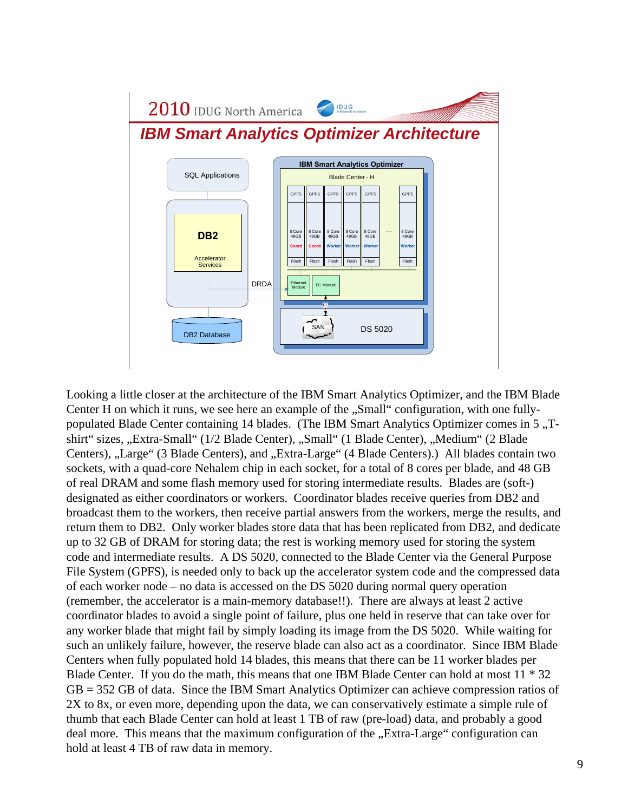

Looking a little closer at the architecture of the IBM Smart Analytics Optimizer, and the IBM Blade Center H on which it runs, we see here an example of the "Small" configuration, with one fullypopulated Blade Center containing 14 blades. (The IBM Smart Analytics Optimizer comes in 5 ., Tshirt" sizes, "Extra-Small" (1/2 Blade Center), "Small" (1 Blade Center), "Medium" (2 Blade Centers), "Large" (3 Blade Centers), and "Extra-Large" (4 Blade Centers).) All blades contain two sockets, with a quad-core Nehalem chip in each socket, for a total of 8 cores per blade, and 48 GB of real DRAM and some flash memory used for storing intermediate results. Blades are (soft-) designated as either coordinators or workers. Coordinator blades receive queries from DB2 and broadcast them to the workers, then receive partial answers from the workers, merge the results, and return them to DB2. Only worker blades store data that has been replicated from DB2, and dedicate up to 32 GB of DRAM for storing data; the rest is working memory used for storing the system code and intermediate results. A DS 5020, connected to the Blade Center via the General Purpose File System (GPFS), is needed only to back up the accelerator system code and the compressed data of each worker node – no data is accessed on the DS 5020 during normal query operation (remember, the accelerator is a main-memory database!!). There are always at least 2 active coordinator blades to avoid a single point of failure, plus one held in reserve that can take over for any worker blade that might fail by simply loading its image from the DS 5020. While waiting for such an unlikely failure, however, the reserve blade can also act as a coordinator. Since IBM Blade Centers when fully populated hold 14 blades, this means that there can be 11 worker blades per Blade Center. If you do the math, this means that one IBM Blade Center can hold at most  $11 * 32$ GB = 352 GB of data. Since the IBM Smart Analytics Optimizer can achieve compression ratios of 2X to 8x, or even more, depending upon the data, we can conservatively estimate a simple rule of thumb that each Blade Center can hold at least 1 TB of raw (pre-load) data, and probably a good deal more. This means that the maximum configuration of the "Extra-Large" configuration can hold at least 4 TB of raw data in memory.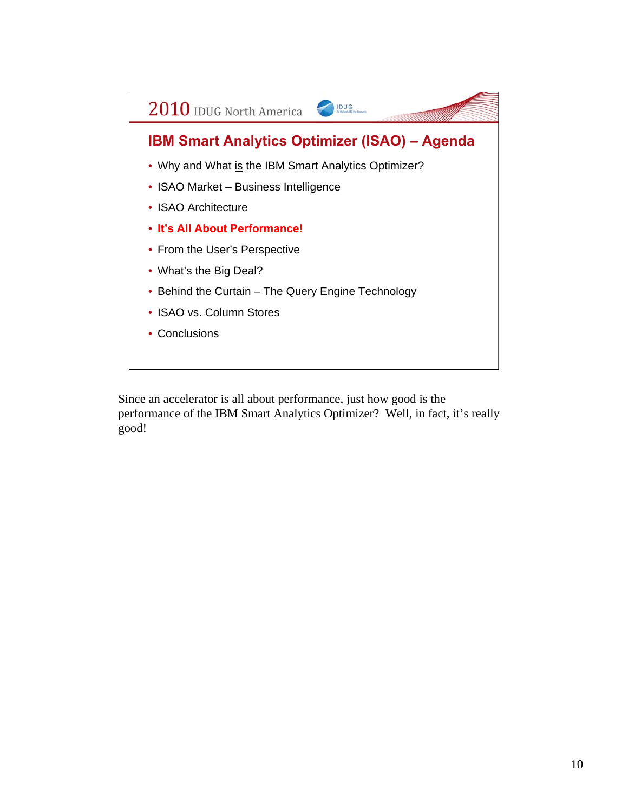

Since an accelerator is all about performance, just how good is the performance of the IBM Smart Analytics Optimizer? Well, in fact, it's really good!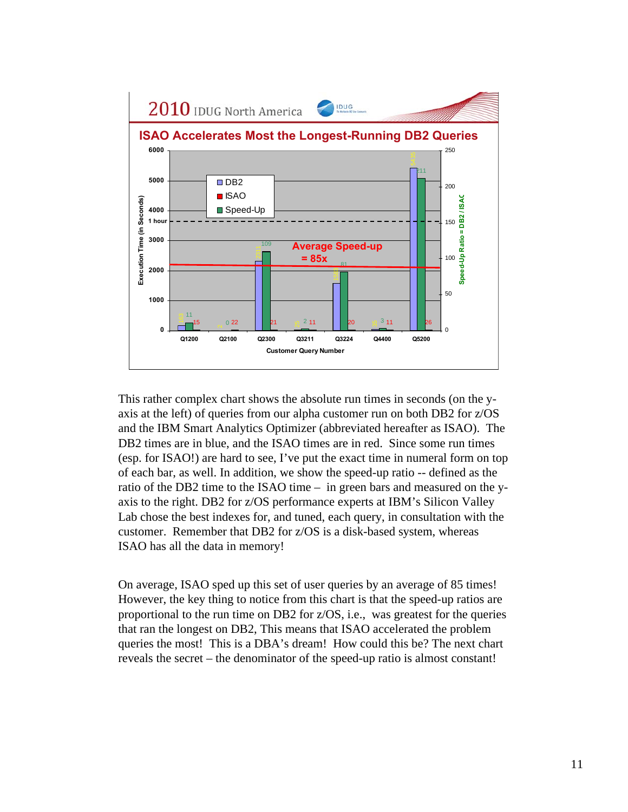

This rather complex chart shows the absolute run times in seconds (on the yaxis at the left) of queries from our alpha customer run on both DB2 for z/OS and the IBM Smart Analytics Optimizer (abbreviated hereafter as ISAO). The DB2 times are in blue, and the ISAO times are in red. Since some run times (esp. for ISAO!) are hard to see, I've put the exact time in numeral form on top of each bar, as well. In addition, we show the speed-up ratio -- defined as the ratio of the DB2 time to the ISAO time – in green bars and measured on the yaxis to the right. DB2 for z/OS performance experts at IBM's Silicon Valley Lab chose the best indexes for, and tuned, each query, in consultation with the customer. Remember that DB2 for z/OS is a disk-based system, whereas ISAO has all the data in memory!

On average, ISAO sped up this set of user queries by an average of 85 times! However, the key thing to notice from this chart is that the speed-up ratios are proportional to the run time on DB2 for z/OS, i.e., was greatest for the queries that ran the longest on DB2, This means that ISAO accelerated the problem queries the most! This is a DBA's dream! How could this be? The next chart reveals the secret – the denominator of the speed-up ratio is almost constant!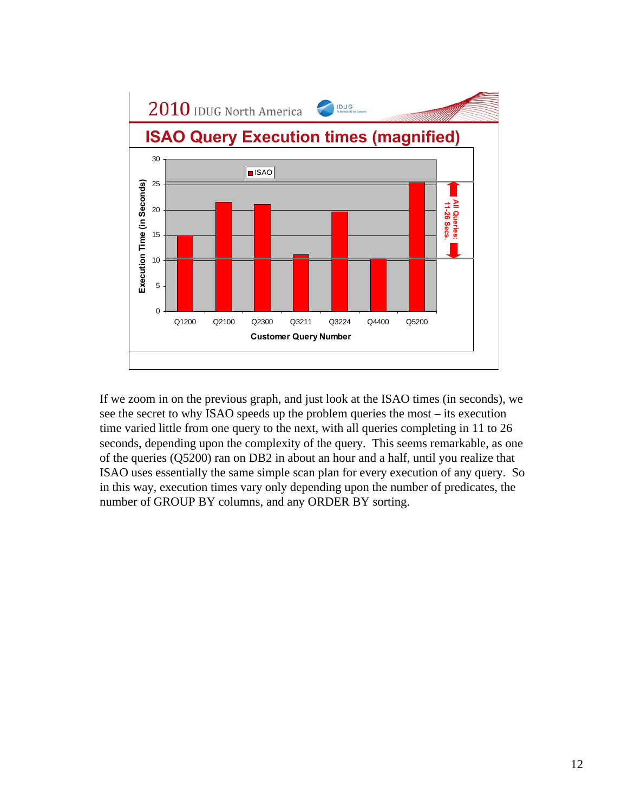

If we zoom in on the previous graph, and just look at the ISAO times (in seconds), we see the secret to why ISAO speeds up the problem queries the most – its execution time varied little from one query to the next, with all queries completing in 11 to 26 seconds, depending upon the complexity of the query. This seems remarkable, as one of the queries (Q5200) ran on DB2 in about an hour and a half, until you realize that ISAO uses essentially the same simple scan plan for every execution of any query. So in this way, execution times vary only depending upon the number of predicates, the number of GROUP BY columns, and any ORDER BY sorting.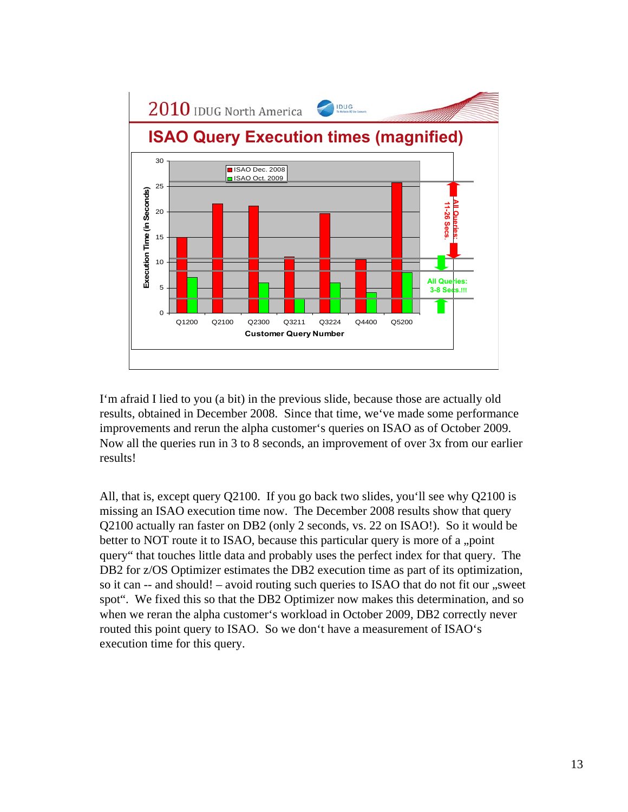

I'm afraid I lied to you (a bit) in the previous slide, because those are actually old results, obtained in December 2008. Since that time, we've made some performance improvements and rerun the alpha customer's queries on ISAO as of October 2009. Now all the queries run in 3 to 8 seconds, an improvement of over 3x from our earlier results!

All, that is, except query Q2100. If you go back two slides, you'll see why Q2100 is missing an ISAO execution time now. The December 2008 results show that query Q2100 actually ran faster on DB2 (only 2 seconds, vs. 22 on ISAO!). So it would be better to NOT route it to ISAO, because this particular query is more of a "point query" that touches little data and probably uses the perfect index for that query. The DB2 for z/OS Optimizer estimates the DB2 execution time as part of its optimization, so it can  $-$  and should!  $-$  avoid routing such queries to ISAO that do not fit our  $\alpha$ , sweet spot". We fixed this so that the DB2 Optimizer now makes this determination, and so when we reran the alpha customer's workload in October 2009, DB2 correctly never routed this point query to ISAO. So we don't have a measurement of ISAO's execution time for this query.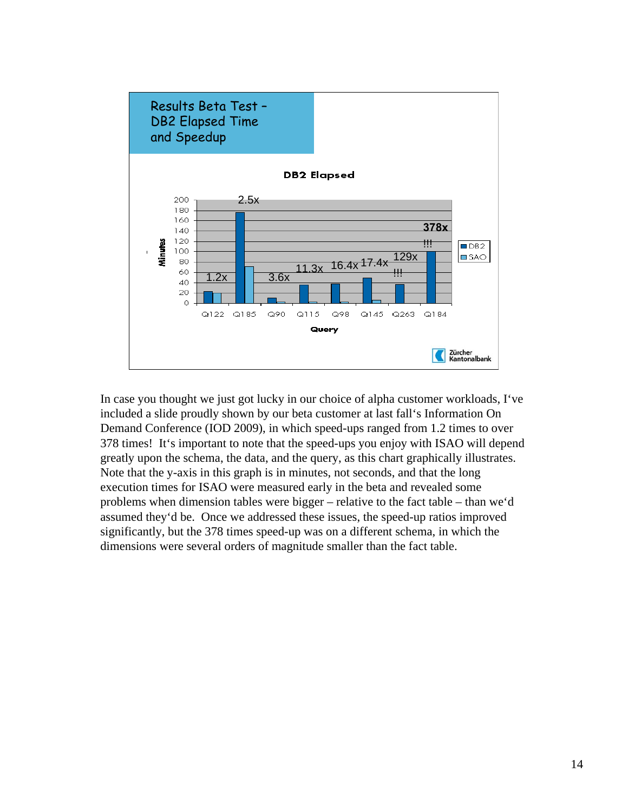

In case you thought we just got lucky in our choice of alpha customer workloads, I've included a slide proudly shown by our beta customer at last fall's Information On Demand Conference (IOD 2009), in which speed-ups ranged from 1.2 times to over 378 times! It's important to note that the speed-ups you enjoy with ISAO will depend greatly upon the schema, the data, and the query, as this chart graphically illustrates. Note that the y-axis in this graph is in minutes, not seconds, and that the long execution times for ISAO were measured early in the beta and revealed some problems when dimension tables were bigger – relative to the fact table – than we'd assumed they'd be. Once we addressed these issues, the speed-up ratios improved significantly, but the 378 times speed-up was on a different schema, in which the dimensions were several orders of magnitude smaller than the fact table.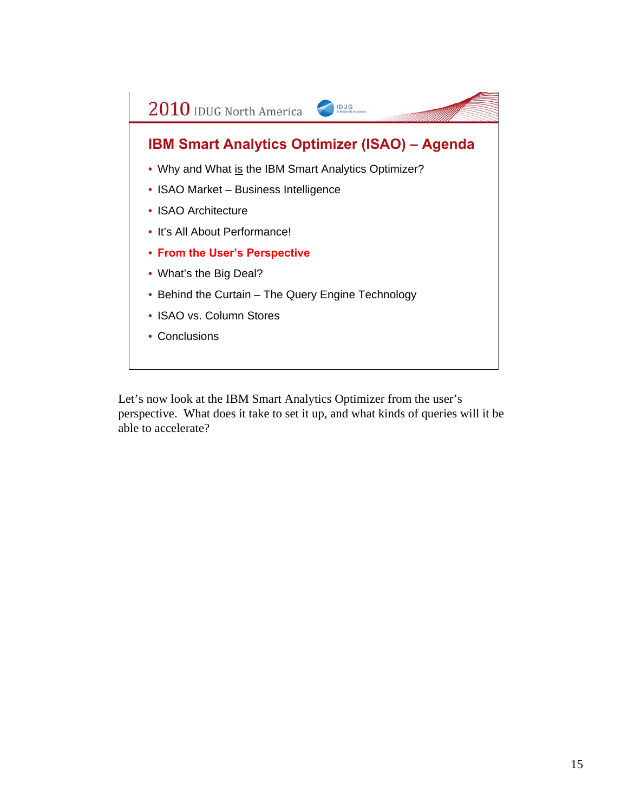

Let's now look at the IBM Smart Analytics Optimizer from the user's perspective. What does it take to set it up, and what kinds of queries will it be able to accelerate?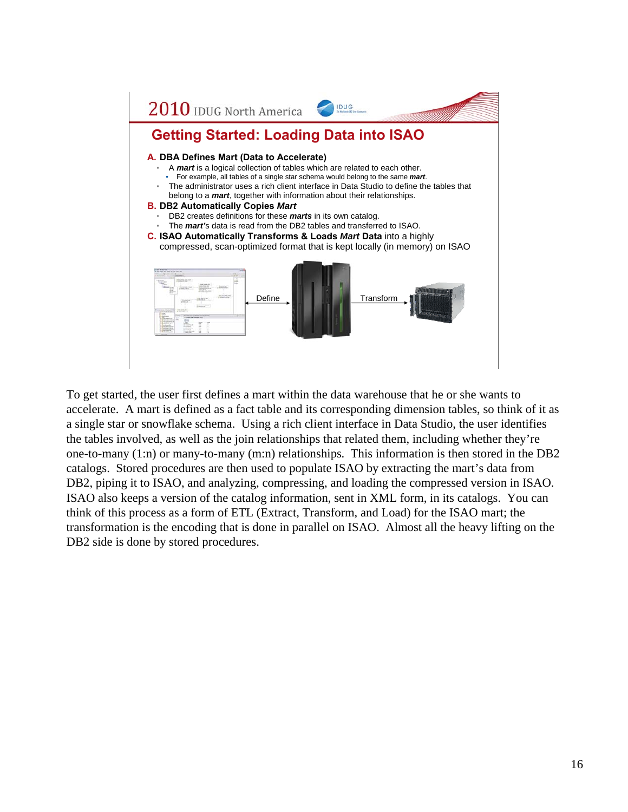

To get started, the user first defines a mart within the data warehouse that he or she wants to accelerate. A mart is defined as a fact table and its corresponding dimension tables, so think of it as a single star or snowflake schema. Using a rich client interface in Data Studio, the user identifies the tables involved, as well as the join relationships that related them, including whether they're one-to-many (1:n) or many-to-many (m:n) relationships. This information is then stored in the DB2 catalogs. Stored procedures are then used to populate ISAO by extracting the mart's data from DB2, piping it to ISAO, and analyzing, compressing, and loading the compressed version in ISAO. ISAO also keeps a version of the catalog information, sent in XML form, in its catalogs. You can think of this process as a form of ETL (Extract, Transform, and Load) for the ISAO mart; the transformation is the encoding that is done in parallel on ISAO. Almost all the heavy lifting on the DB2 side is done by stored procedures.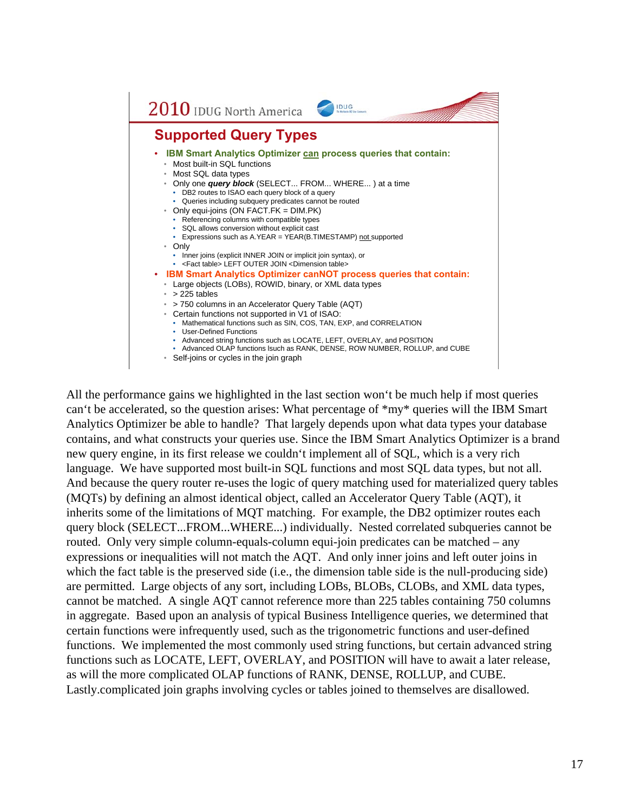

All the performance gains we highlighted in the last section won't be much help if most queries can't be accelerated, so the question arises: What percentage of \*my\* queries will the IBM Smart Analytics Optimizer be able to handle? That largely depends upon what data types your database contains, and what constructs your queries use. Since the IBM Smart Analytics Optimizer is a brand new query engine, in its first release we couldn't implement all of SQL, which is a very rich language. We have supported most built-in SQL functions and most SQL data types, but not all. And because the query router re-uses the logic of query matching used for materialized query tables (MQTs) by defining an almost identical object, called an Accelerator Query Table (AQT), it inherits some of the limitations of MQT matching. For example, the DB2 optimizer routes each query block (SELECT...FROM...WHERE...) individually. Nested correlated subqueries cannot be routed. Only very simple column-equals-column equi-join predicates can be matched – any expressions or inequalities will not match the AQT. And only inner joins and left outer joins in which the fact table is the preserved side (i.e., the dimension table side is the null-producing side) are permitted. Large objects of any sort, including LOBs, BLOBs, CLOBs, and XML data types, cannot be matched. A single AQT cannot reference more than 225 tables containing 750 columns in aggregate. Based upon an analysis of typical Business Intelligence queries, we determined that certain functions were infrequently used, such as the trigonometric functions and user-defined functions. We implemented the most commonly used string functions, but certain advanced string functions such as LOCATE, LEFT, OVERLAY, and POSITION will have to await a later release, as will the more complicated OLAP functions of RANK, DENSE, ROLLUP, and CUBE. Lastly.complicated join graphs involving cycles or tables joined to themselves are disallowed.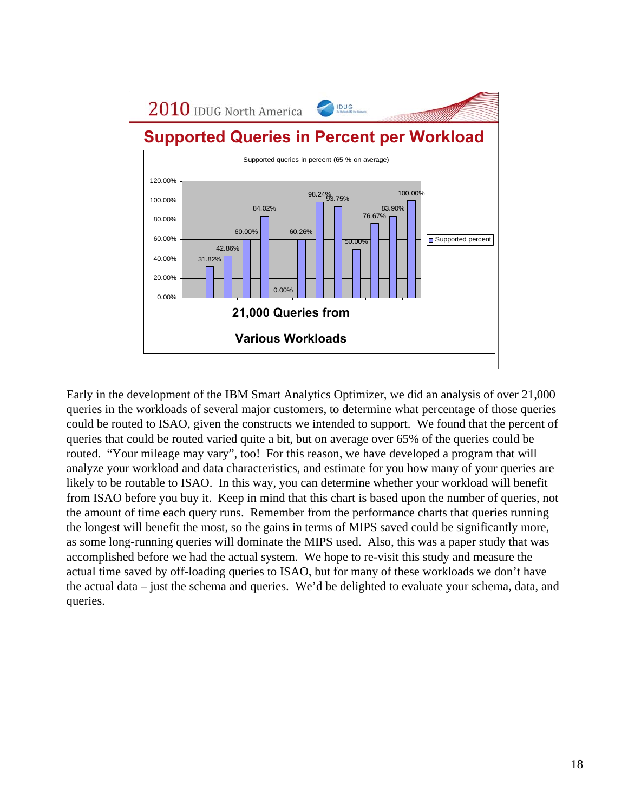

Early in the development of the IBM Smart Analytics Optimizer, we did an analysis of over 21,000 queries in the workloads of several major customers, to determine what percentage of those queries could be routed to ISAO, given the constructs we intended to support. We found that the percent of queries that could be routed varied quite a bit, but on average over 65% of the queries could be routed. "Your mileage may vary", too! For this reason, we have developed a program that will analyze your workload and data characteristics, and estimate for you how many of your queries are likely to be routable to ISAO. In this way, you can determine whether your workload will benefit from ISAO before you buy it. Keep in mind that this chart is based upon the number of queries, not the amount of time each query runs. Remember from the performance charts that queries running the longest will benefit the most, so the gains in terms of MIPS saved could be significantly more, as some long-running queries will dominate the MIPS used. Also, this was a paper study that was accomplished before we had the actual system. We hope to re-visit this study and measure the actual time saved by off-loading queries to ISAO, but for many of these workloads we don't have the actual data – just the schema and queries. We'd be delighted to evaluate your schema, data, and queries.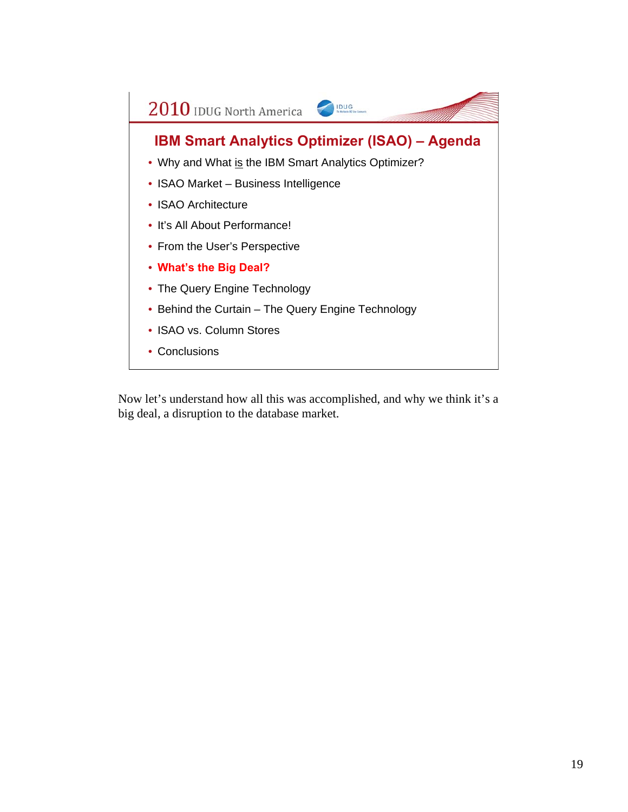

Now let's understand how all this was accomplished, and why we think it's a big deal, a disruption to the database market.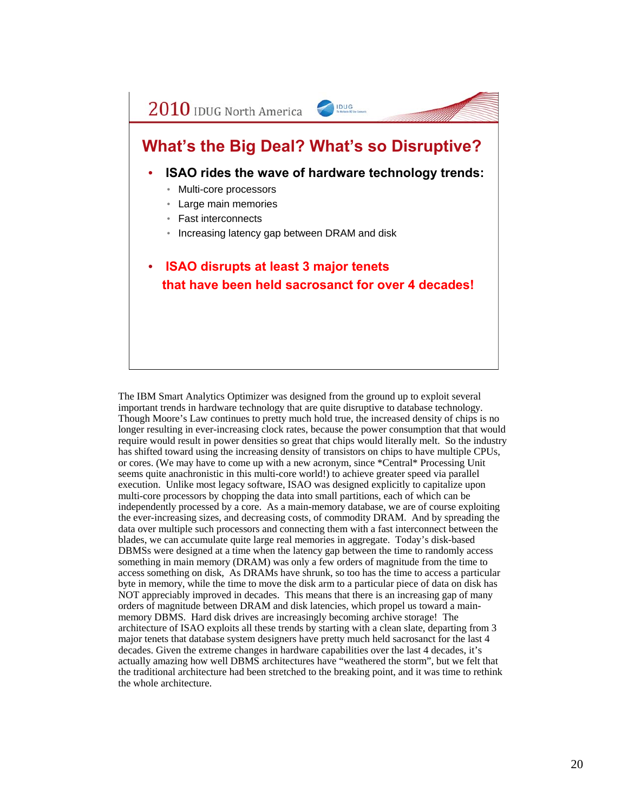

The IBM Smart Analytics Optimizer was designed from the ground up to exploit several important trends in hardware technology that are quite disruptive to database technology. Though Moore's Law continues to pretty much hold true, the increased density of chips is no longer resulting in ever-increasing clock rates, because the power consumption that that would require would result in power densities so great that chips would literally melt. So the industry has shifted toward using the increasing density of transistors on chips to have multiple CPUs, or cores. (We may have to come up with a new acronym, since \*Central\* Processing Unit seems quite anachronistic in this multi-core world!) to achieve greater speed via parallel execution. Unlike most legacy software, ISAO was designed explicitly to capitalize upon multi-core processors by chopping the data into small partitions, each of which can be independently processed by a core. As a main-memory database, we are of course exploiting the ever-increasing sizes, and decreasing costs, of commodity DRAM. And by spreading the data over multiple such processors and connecting them with a fast interconnect between the blades, we can accumulate quite large real memories in aggregate. Today's disk-based DBMSs were designed at a time when the latency gap between the time to randomly access something in main memory (DRAM) was only a few orders of magnitude from the time to access something on disk, As DRAMs have shrunk, so too has the time to access a particular byte in memory, while the time to move the disk arm to a particular piece of data on disk has NOT appreciably improved in decades. This means that there is an increasing gap of many orders of magnitude between DRAM and disk latencies, which propel us toward a mainmemory DBMS. Hard disk drives are increasingly becoming archive storage! The architecture of ISAO exploits all these trends by starting with a clean slate, departing from 3 major tenets that database system designers have pretty much held sacrosanct for the last 4 decades. Given the extreme changes in hardware capabilities over the last 4 decades, it's actually amazing how well DBMS architectures have "weathered the storm", but we felt that the traditional architecture had been stretched to the breaking point, and it was time to rethink the whole architecture.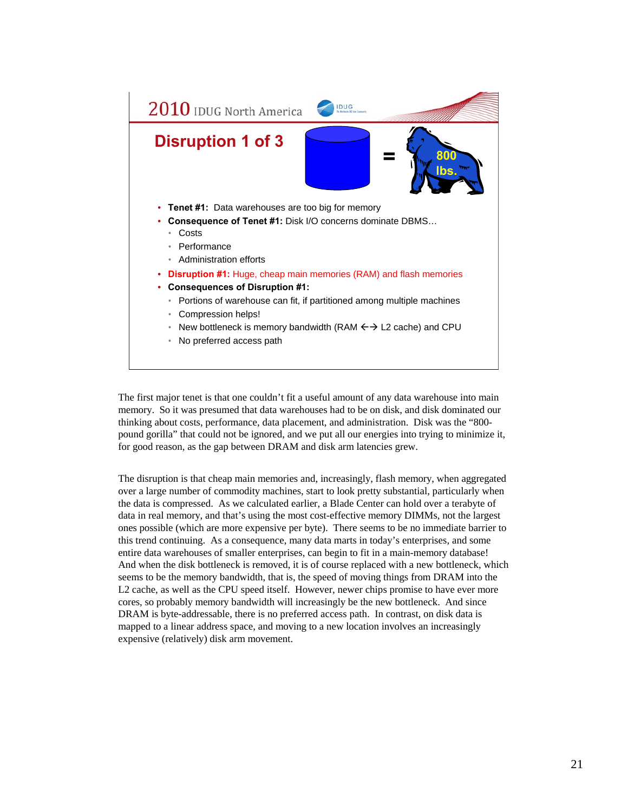

The first major tenet is that one couldn't fit a useful amount of any data warehouse into main memory. So it was presumed that data warehouses had to be on disk, and disk dominated our thinking about costs, performance, data placement, and administration. Disk was the "800 pound gorilla" that could not be ignored, and we put all our energies into trying to minimize it, for good reason, as the gap between DRAM and disk arm latencies grew.

The disruption is that cheap main memories and, increasingly, flash memory, when aggregated over a large number of commodity machines, start to look pretty substantial, particularly when the data is compressed. As we calculated earlier, a Blade Center can hold over a terabyte of data in real memory, and that's using the most cost-effective memory DIMMs, not the largest ones possible (which are more expensive per byte). There seems to be no immediate barrier to this trend continuing. As a consequence, many data marts in today's enterprises, and some entire data warehouses of smaller enterprises, can begin to fit in a main-memory database! And when the disk bottleneck is removed, it is of course replaced with a new bottleneck, which seems to be the memory bandwidth, that is, the speed of moving things from DRAM into the L2 cache, as well as the CPU speed itself. However, newer chips promise to have ever more cores, so probably memory bandwidth will increasingly be the new bottleneck. And since DRAM is byte-addressable, there is no preferred access path. In contrast, on disk data is mapped to a linear address space, and moving to a new location involves an increasingly expensive (relatively) disk arm movement.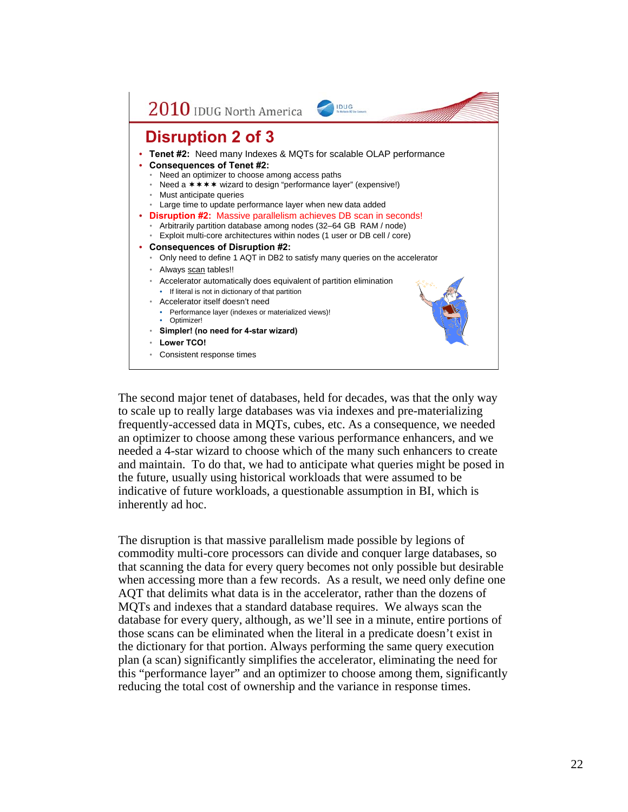

The second major tenet of databases, held for decades, was that the only way to scale up to really large databases was via indexes and pre-materializing frequently-accessed data in MQTs, cubes, etc. As a consequence, we needed an optimizer to choose among these various performance enhancers, and we needed a 4-star wizard to choose which of the many such enhancers to create and maintain. To do that, we had to anticipate what queries might be posed in the future, usually using historical workloads that were assumed to be indicative of future workloads, a questionable assumption in BI, which is inherently ad hoc.

The disruption is that massive parallelism made possible by legions of commodity multi-core processors can divide and conquer large databases, so that scanning the data for every query becomes not only possible but desirable when accessing more than a few records. As a result, we need only define one AQT that delimits what data is in the accelerator, rather than the dozens of MQTs and indexes that a standard database requires. We always scan the database for every query, although, as we'll see in a minute, entire portions of those scans can be eliminated when the literal in a predicate doesn't exist in the dictionary for that portion. Always performing the same query execution plan (a scan) significantly simplifies the accelerator, eliminating the need for this "performance layer" and an optimizer to choose among them, significantly reducing the total cost of ownership and the variance in response times.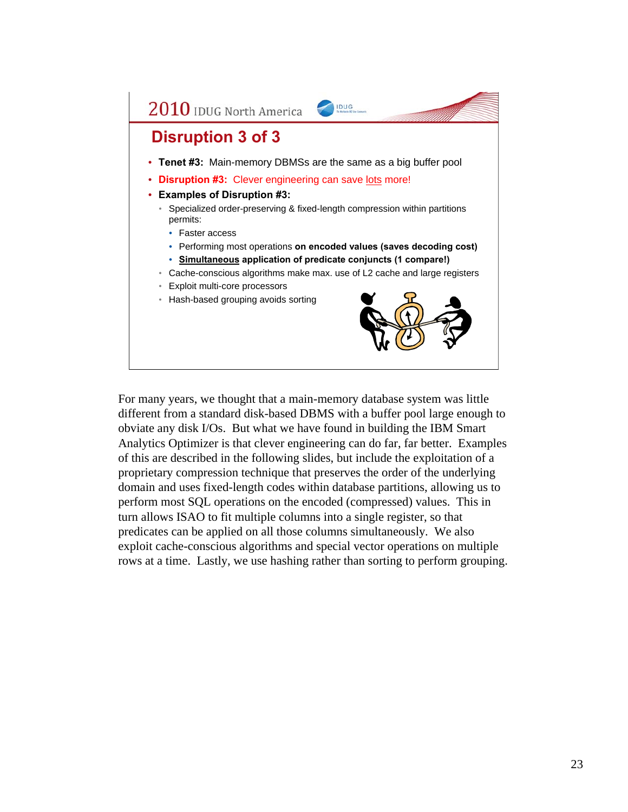

For many years, we thought that a main-memory database system was little different from a standard disk-based DBMS with a buffer pool large enough to obviate any disk I/Os. But what we have found in building the IBM Smart Analytics Optimizer is that clever engineering can do far, far better. Examples of this are described in the following slides, but include the exploitation of a proprietary compression technique that preserves the order of the underlying domain and uses fixed-length codes within database partitions, allowing us to perform most SQL operations on the encoded (compressed) values. This in turn allows ISAO to fit multiple columns into a single register, so that predicates can be applied on all those columns simultaneously. We also exploit cache-conscious algorithms and special vector operations on multiple rows at a time. Lastly, we use hashing rather than sorting to perform grouping.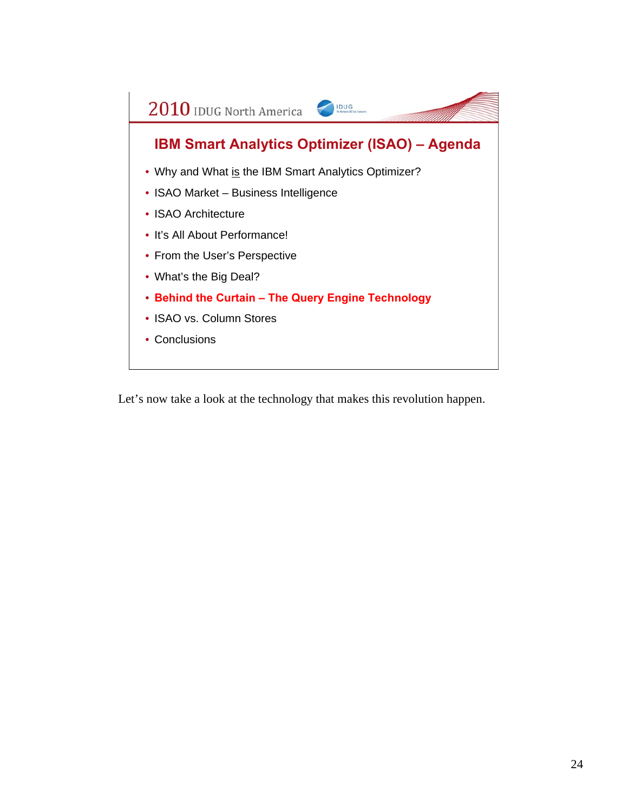

Let's now take a look at the technology that makes this revolution happen.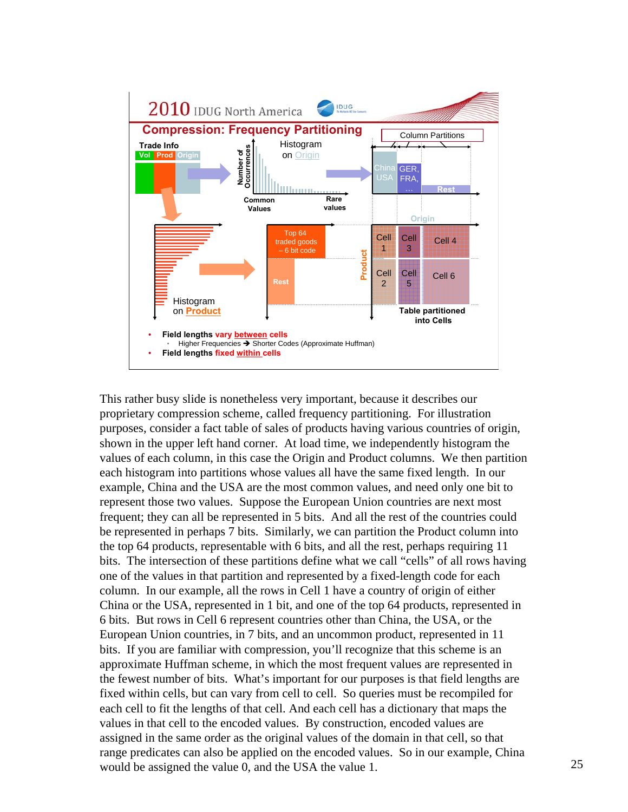

This rather busy slide is nonetheless very important, because it describes our proprietary compression scheme, called frequency partitioning. For illustration purposes, consider a fact table of sales of products having various countries of origin, shown in the upper left hand corner. At load time, we independently histogram the values of each column, in this case the Origin and Product columns. We then partition each histogram into partitions whose values all have the same fixed length. In our example, China and the USA are the most common values, and need only one bit to represent those two values. Suppose the European Union countries are next most frequent; they can all be represented in 5 bits. And all the rest of the countries could be represented in perhaps 7 bits. Similarly, we can partition the Product column into the top 64 products, representable with 6 bits, and all the rest, perhaps requiring 11 bits. The intersection of these partitions define what we call "cells" of all rows having one of the values in that partition and represented by a fixed-length code for each column. In our example, all the rows in Cell 1 have a country of origin of either China or the USA, represented in 1 bit, and one of the top 64 products, represented in 6 bits. But rows in Cell 6 represent countries other than China, the USA, or the European Union countries, in 7 bits, and an uncommon product, represented in 11 bits. If you are familiar with compression, you'll recognize that this scheme is an approximate Huffman scheme, in which the most frequent values are represented in the fewest number of bits. What's important for our purposes is that field lengths are fixed within cells, but can vary from cell to cell. So queries must be recompiled for each cell to fit the lengths of that cell. And each cell has a dictionary that maps the values in that cell to the encoded values. By construction, encoded values are assigned in the same order as the original values of the domain in that cell, so that range predicates can also be applied on the encoded values. So in our example, China would be assigned the value 0, and the USA the value 1.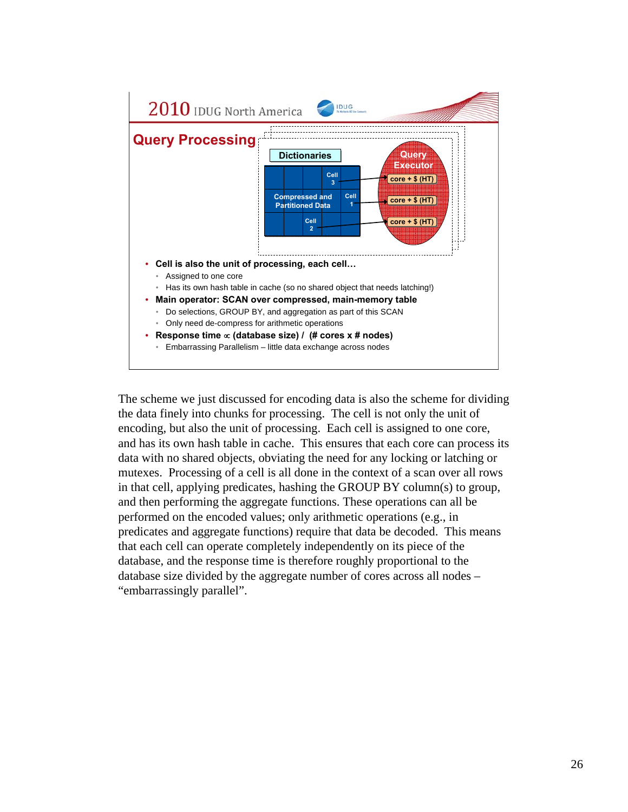

The scheme we just discussed for encoding data is also the scheme for dividing the data finely into chunks for processing. The cell is not only the unit of encoding, but also the unit of processing. Each cell is assigned to one core, and has its own hash table in cache. This ensures that each core can process its data with no shared objects, obviating the need for any locking or latching or mutexes. Processing of a cell is all done in the context of a scan over all rows in that cell, applying predicates, hashing the GROUP BY column(s) to group, and then performing the aggregate functions. These operations can all be performed on the encoded values; only arithmetic operations (e.g., in predicates and aggregate functions) require that data be decoded. This means that each cell can operate completely independently on its piece of the database, and the response time is therefore roughly proportional to the database size divided by the aggregate number of cores across all nodes – "embarrassingly parallel".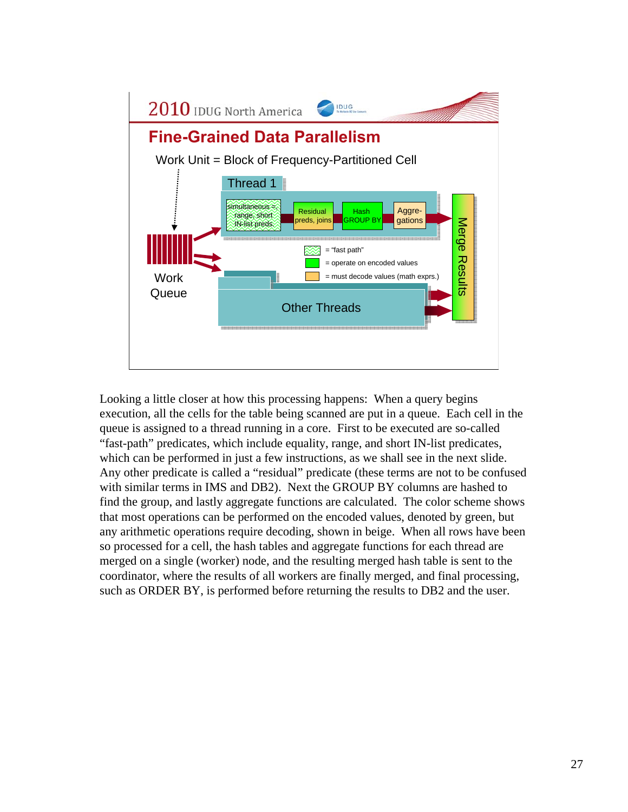

Looking a little closer at how this processing happens: When a query begins execution, all the cells for the table being scanned are put in a queue. Each cell in the queue is assigned to a thread running in a core. First to be executed are so-called "fast-path" predicates, which include equality, range, and short IN-list predicates, which can be performed in just a few instructions, as we shall see in the next slide. Any other predicate is called a "residual" predicate (these terms are not to be confused with similar terms in IMS and DB2). Next the GROUP BY columns are hashed to find the group, and lastly aggregate functions are calculated. The color scheme shows that most operations can be performed on the encoded values, denoted by green, but any arithmetic operations require decoding, shown in beige. When all rows have been so processed for a cell, the hash tables and aggregate functions for each thread are merged on a single (worker) node, and the resulting merged hash table is sent to the coordinator, where the results of all workers are finally merged, and final processing, such as ORDER BY, is performed before returning the results to DB2 and the user.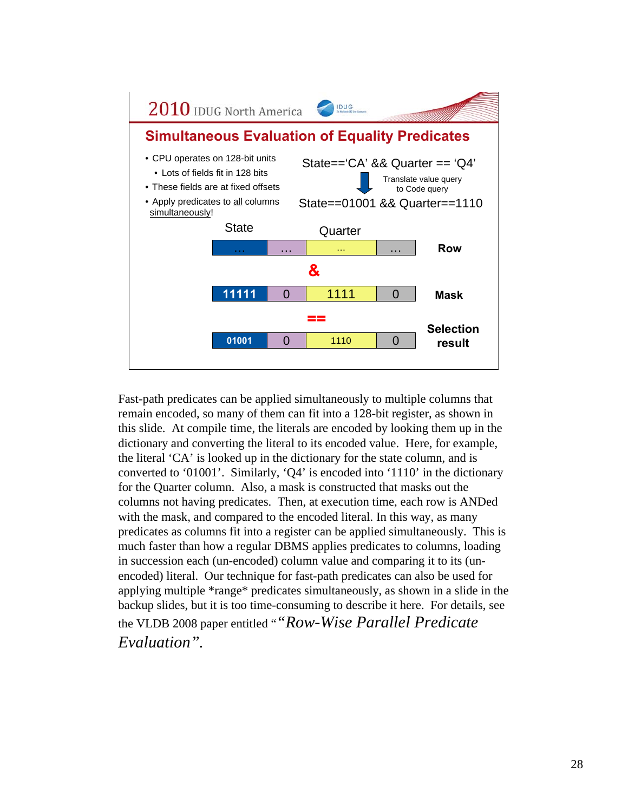

Fast-path predicates can be applied simultaneously to multiple columns that remain encoded, so many of them can fit into a 128-bit register, as shown in this slide. At compile time, the literals are encoded by looking them up in the dictionary and converting the literal to its encoded value. Here, for example, the literal 'CA' is looked up in the dictionary for the state column, and is converted to '01001'. Similarly, 'Q4' is encoded into '1110' in the dictionary for the Quarter column. Also, a mask is constructed that masks out the columns not having predicates. Then, at execution time, each row is ANDed with the mask, and compared to the encoded literal. In this way, as many predicates as columns fit into a register can be applied simultaneously. This is much faster than how a regular DBMS applies predicates to columns, loading in succession each (un-encoded) column value and comparing it to its (unencoded) literal. Our technique for fast-path predicates can also be used for applying multiple \*range\* predicates simultaneously, as shown in a slide in the backup slides, but it is too time-consuming to describe it here. For details, see the VLDB 2008 paper entitled "*"Row-Wise Parallel Predicate Evaluation".*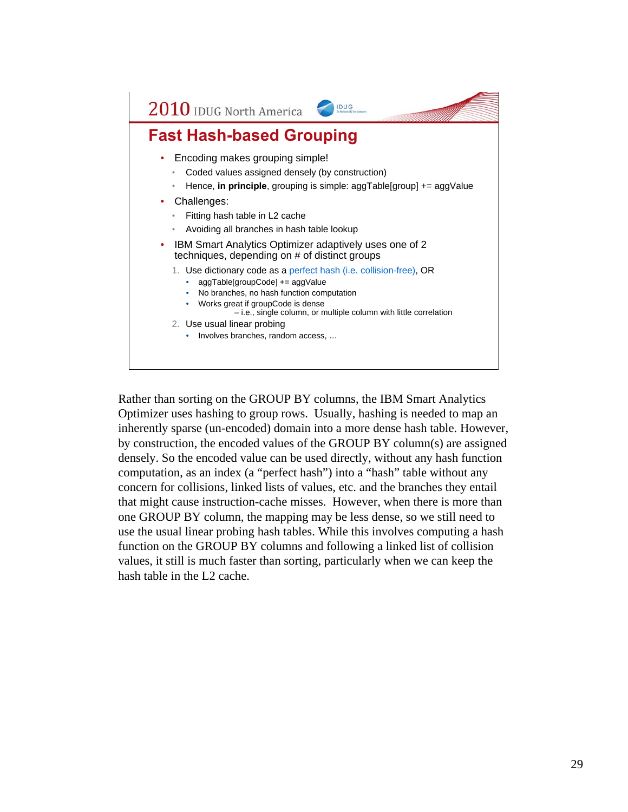

Rather than sorting on the GROUP BY columns, the IBM Smart Analytics Optimizer uses hashing to group rows. Usually, hashing is needed to map an inherently sparse (un-encoded) domain into a more dense hash table. However, by construction, the encoded values of the GROUP BY column(s) are assigned densely. So the encoded value can be used directly, without any hash function computation, as an index (a "perfect hash") into a "hash" table without any concern for collisions, linked lists of values, etc. and the branches they entail that might cause instruction-cache misses. However, when there is more than one GROUP BY column, the mapping may be less dense, so we still need to use the usual linear probing hash tables. While this involves computing a hash function on the GROUP BY columns and following a linked list of collision values, it still is much faster than sorting, particularly when we can keep the hash table in the L2 cache.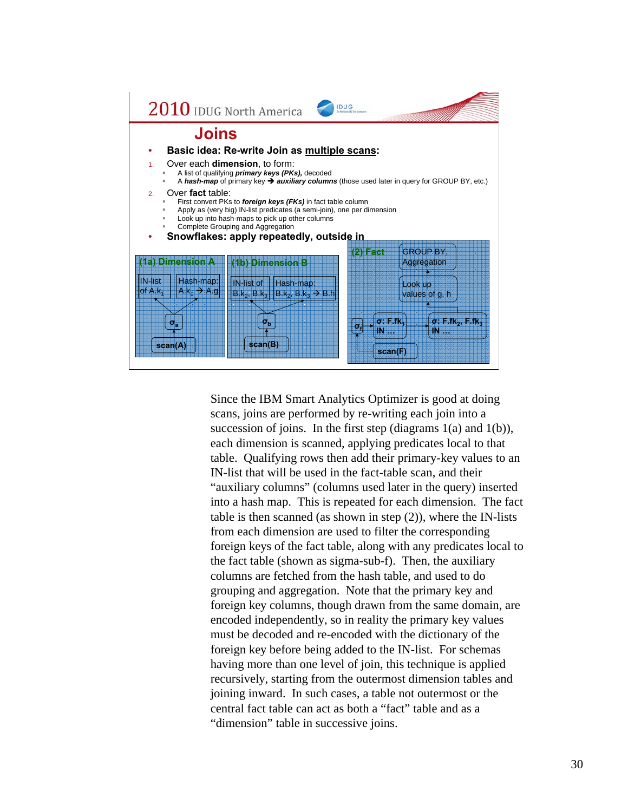

Since the IBM Smart Analytics Optimizer is good at doing scans, joins are performed by re-writing each join into a succession of joins. In the first step (diagrams 1(a) and 1(b)), each dimension is scanned, applying predicates local to that table. Qualifying rows then add their primary-key values to an IN-list that will be used in the fact-table scan, and their "auxiliary columns" (columns used later in the query) inserted into a hash map. This is repeated for each dimension. The fact table is then scanned (as shown in step (2)), where the IN-lists from each dimension are used to filter the corresponding foreign keys of the fact table, along with any predicates local to the fact table (shown as sigma-sub-f). Then, the auxiliary columns are fetched from the hash table, and used to do grouping and aggregation. Note that the primary key and foreign key columns, though drawn from the same domain, are encoded independently, so in reality the primary key values must be decoded and re-encoded with the dictionary of the foreign key before being added to the IN-list. For schemas having more than one level of join, this technique is applied recursively, starting from the outermost dimension tables and joining inward. In such cases, a table not outermost or the central fact table can act as both a "fact" table and as a "dimension" table in successive joins.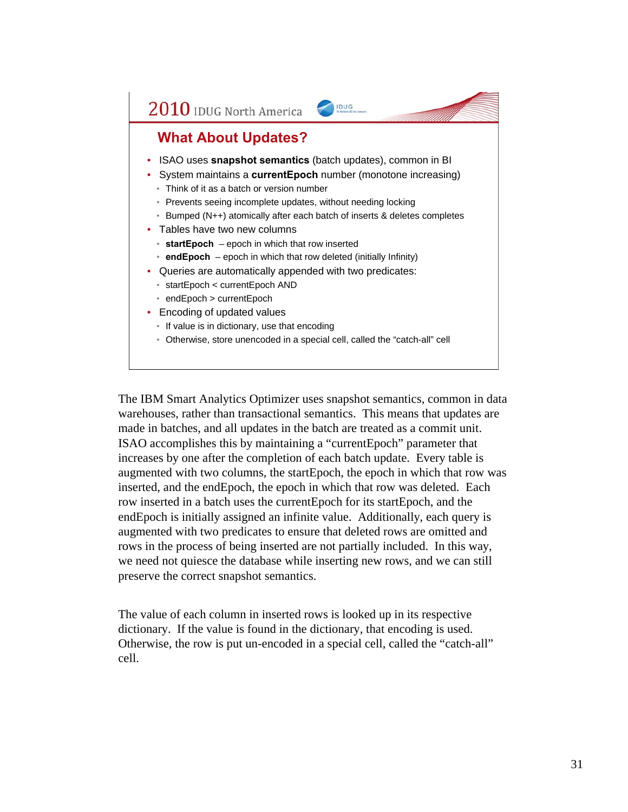

The IBM Smart Analytics Optimizer uses snapshot semantics, common in data warehouses, rather than transactional semantics. This means that updates are made in batches, and all updates in the batch are treated as a commit unit. ISAO accomplishes this by maintaining a "currentEpoch" parameter that increases by one after the completion of each batch update. Every table is augmented with two columns, the startEpoch, the epoch in which that row was inserted, and the endEpoch, the epoch in which that row was deleted. Each row inserted in a batch uses the currentEpoch for its startEpoch, and the endEpoch is initially assigned an infinite value. Additionally, each query is augmented with two predicates to ensure that deleted rows are omitted and rows in the process of being inserted are not partially included. In this way, we need not quiesce the database while inserting new rows, and we can still preserve the correct snapshot semantics.

The value of each column in inserted rows is looked up in its respective dictionary. If the value is found in the dictionary, that encoding is used. Otherwise, the row is put un-encoded in a special cell, called the "catch-all" cell.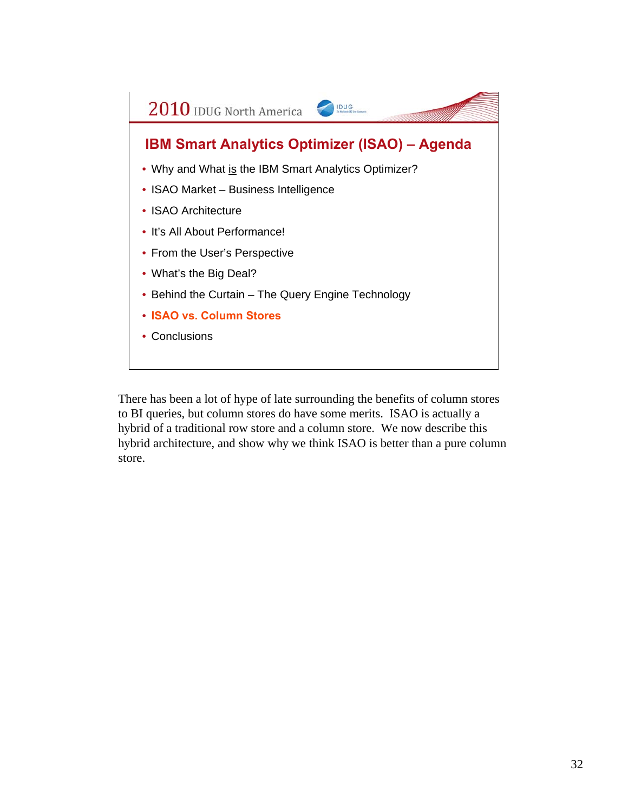

There has been a lot of hype of late surrounding the benefits of column stores to BI queries, but column stores do have some merits. ISAO is actually a hybrid of a traditional row store and a column store. We now describe this hybrid architecture, and show why we think ISAO is better than a pure column store.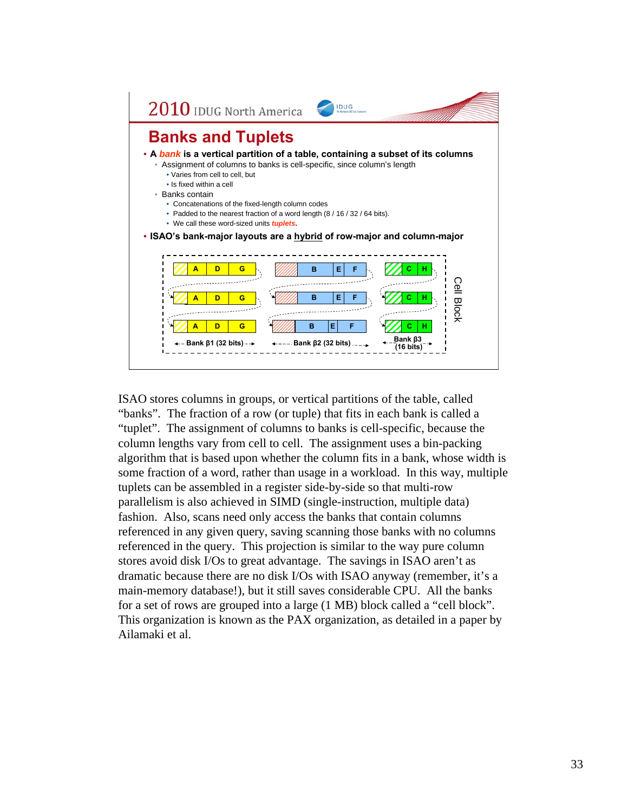

ISAO stores columns in groups, or vertical partitions of the table, called "banks". The fraction of a row (or tuple) that fits in each bank is called a "tuplet". The assignment of columns to banks is cell-specific, because the column lengths vary from cell to cell. The assignment uses a bin-packing algorithm that is based upon whether the column fits in a bank, whose width is some fraction of a word, rather than usage in a workload. In this way, multiple tuplets can be assembled in a register side-by-side so that multi-row parallelism is also achieved in SIMD (single-instruction, multiple data) fashion. Also, scans need only access the banks that contain columns referenced in any given query, saving scanning those banks with no columns referenced in the query. This projection is similar to the way pure column stores avoid disk I/Os to great advantage. The savings in ISAO aren't as dramatic because there are no disk I/Os with ISAO anyway (remember, it's a main-memory database!), but it still saves considerable CPU. All the banks for a set of rows are grouped into a large (1 MB) block called a "cell block". This organization is known as the PAX organization, as detailed in a paper by Ailamaki et al.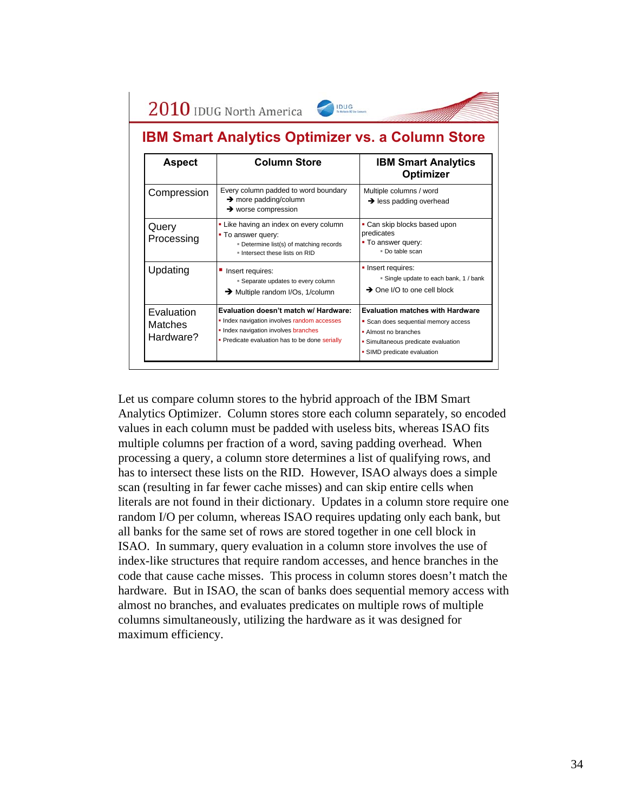| 2010 IDUG North America<br><b>Te Rollert Off for Conner</b><br><b>IBM Smart Analytics Optimizer vs. a Column Store</b> |                                                                                                                                                                                |                                                                                                                                                                               |
|------------------------------------------------------------------------------------------------------------------------|--------------------------------------------------------------------------------------------------------------------------------------------------------------------------------|-------------------------------------------------------------------------------------------------------------------------------------------------------------------------------|
| <b>Aspect</b>                                                                                                          | <b>Column Store</b>                                                                                                                                                            | <b>IBM Smart Analytics</b><br>Optimizer                                                                                                                                       |
| Compression                                                                                                            | Every column padded to word boundary<br>$\rightarrow$ more padding/column<br>$\rightarrow$ worse compression                                                                   | Multiple columns / word<br>$\rightarrow$ less padding overhead                                                                                                                |
| Query<br>Processing                                                                                                    | . Like having an index on every column<br>. To answer query:<br>· Determine list(s) of matching records<br>. Intersect these lists on RID                                      | • Can skip blocks based upon<br>predicates<br>• To answer query:<br>· Do table scan                                                                                           |
| Updating                                                                                                               | Insert requires:<br>· Separate updates to every column<br>$\rightarrow$ Multiple random I/Os, 1/column                                                                         | • Insert requires:<br>. Single update to each bank, 1 / bank<br>$\rightarrow$ One I/O to one cell block                                                                       |
| Evaluation<br><b>Matches</b><br>Hardware?                                                                              | Evaluation doesn't match w/ Hardware:<br>. Index navigation involves random accesses<br>. Index navigation involves branches<br>· Predicate evaluation has to be done serially | <b>Evaluation matches with Hardware</b><br>• Scan does sequential memory access<br>• Almost no branches<br>• Simultaneous predicate evaluation<br>• SIMD predicate evaluation |

Let us compare column stores to the hybrid approach of the IBM Smart Analytics Optimizer. Column stores store each column separately, so encoded values in each column must be padded with useless bits, whereas ISAO fits multiple columns per fraction of a word, saving padding overhead. When processing a query, a column store determines a list of qualifying rows, and has to intersect these lists on the RID. However, ISAO always does a simple scan (resulting in far fewer cache misses) and can skip entire cells when literals are not found in their dictionary. Updates in a column store require one random I/O per column, whereas ISAO requires updating only each bank, but all banks for the same set of rows are stored together in one cell block in ISAO. In summary, query evaluation in a column store involves the use of index-like structures that require random accesses, and hence branches in the code that cause cache misses. This process in column stores doesn't match the hardware. But in ISAO, the scan of banks does sequential memory access with almost no branches, and evaluates predicates on multiple rows of multiple columns simultaneously, utilizing the hardware as it was designed for maximum efficiency.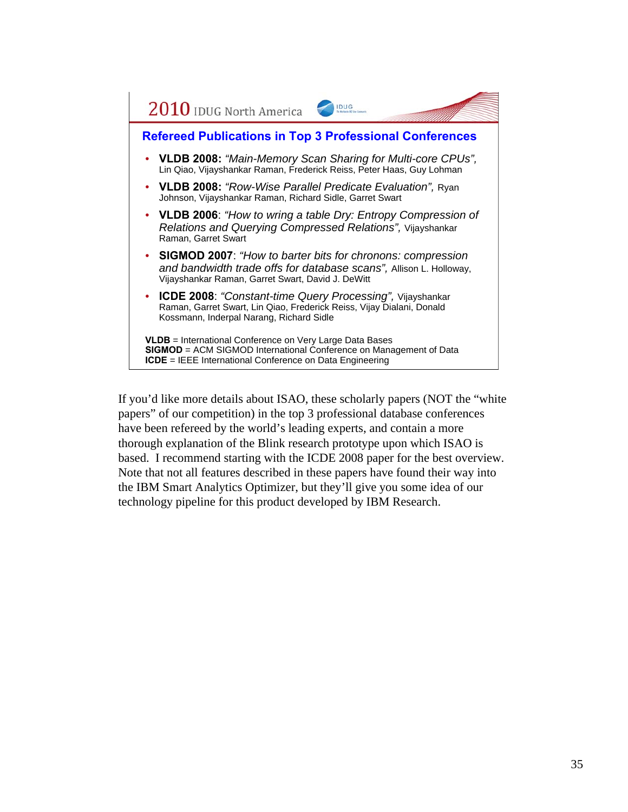

If you'd like more details about ISAO, these scholarly papers (NOT the "white papers" of our competition) in the top 3 professional database conferences have been refereed by the world's leading experts, and contain a more thorough explanation of the Blink research prototype upon which ISAO is based. I recommend starting with the ICDE 2008 paper for the best overview. Note that not all features described in these papers have found their way into the IBM Smart Analytics Optimizer, but they'll give you some idea of our technology pipeline for this product developed by IBM Research.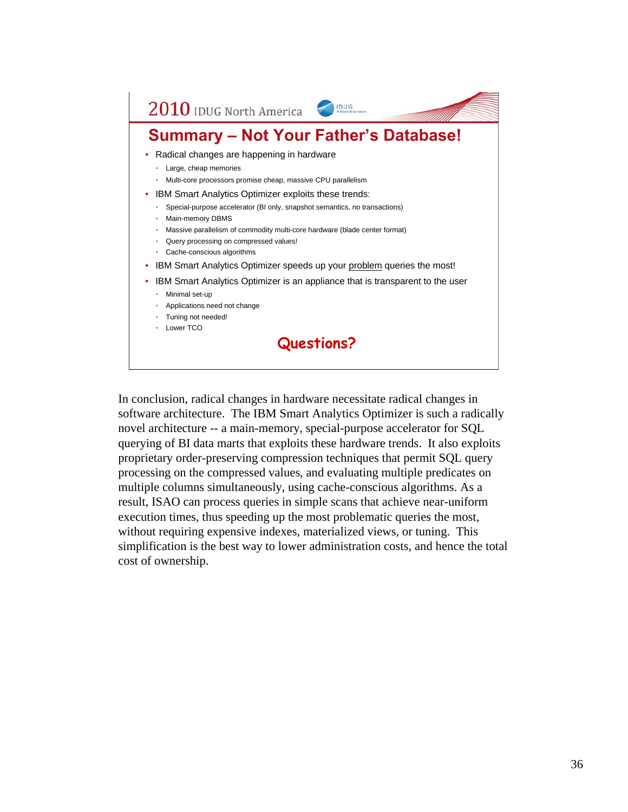

In conclusion, radical changes in hardware necessitate radical changes in software architecture. The IBM Smart Analytics Optimizer is such a radically novel architecture -- a main-memory, special-purpose accelerator for SQL querying of BI data marts that exploits these hardware trends. It also exploits proprietary order-preserving compression techniques that permit SQL query processing on the compressed values, and evaluating multiple predicates on multiple columns simultaneously, using cache-conscious algorithms. As a result, ISAO can process queries in simple scans that achieve near-uniform execution times, thus speeding up the most problematic queries the most, without requiring expensive indexes, materialized views, or tuning. This simplification is the best way to lower administration costs, and hence the total cost of ownership.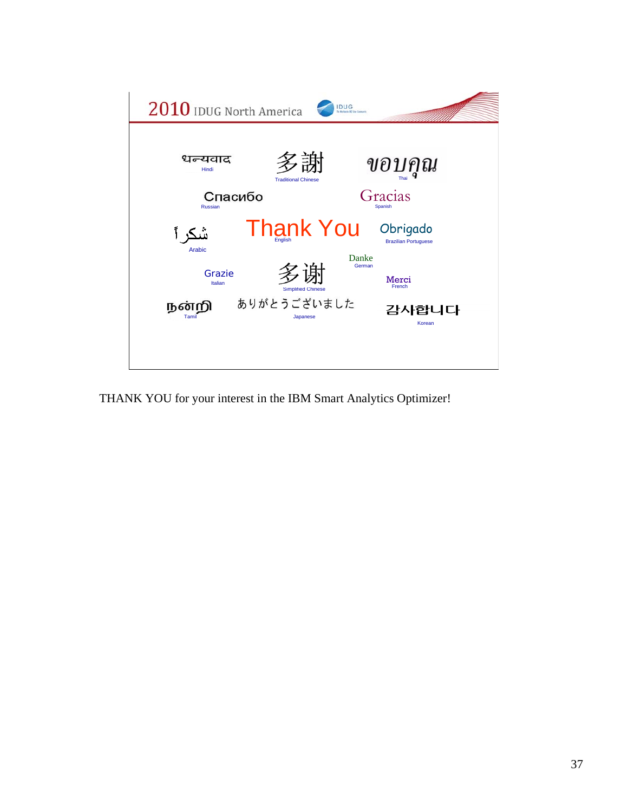

THANK YOU for your interest in the IBM Smart Analytics Optimizer!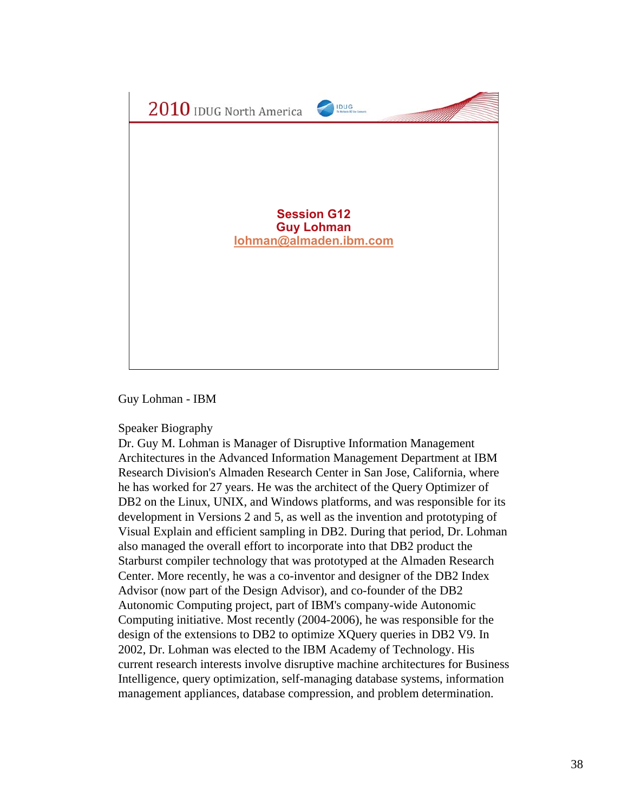

Guy Lohman - IBM

## Speaker Biography

Dr. Guy M. Lohman is Manager of Disruptive Information Management Architectures in the Advanced Information Management Department at IBM Research Division's Almaden Research Center in San Jose, California, where he has worked for 27 years. He was the architect of the Query Optimizer of DB2 on the Linux, UNIX, and Windows platforms, and was responsible for its development in Versions 2 and 5, as well as the invention and prototyping of Visual Explain and efficient sampling in DB2. During that period, Dr. Lohman also managed the overall effort to incorporate into that DB2 product the Starburst compiler technology that was prototyped at the Almaden Research Center. More recently, he was a co-inventor and designer of the DB2 Index Advisor (now part of the Design Advisor), and co-founder of the DB2 Autonomic Computing project, part of IBM's company-wide Autonomic Computing initiative. Most recently (2004-2006), he was responsible for the design of the extensions to DB2 to optimize XQuery queries in DB2 V9. In 2002, Dr. Lohman was elected to the IBM Academy of Technology. His current research interests involve disruptive machine architectures for Business Intelligence, query optimization, self-managing database systems, information management appliances, database compression, and problem determination.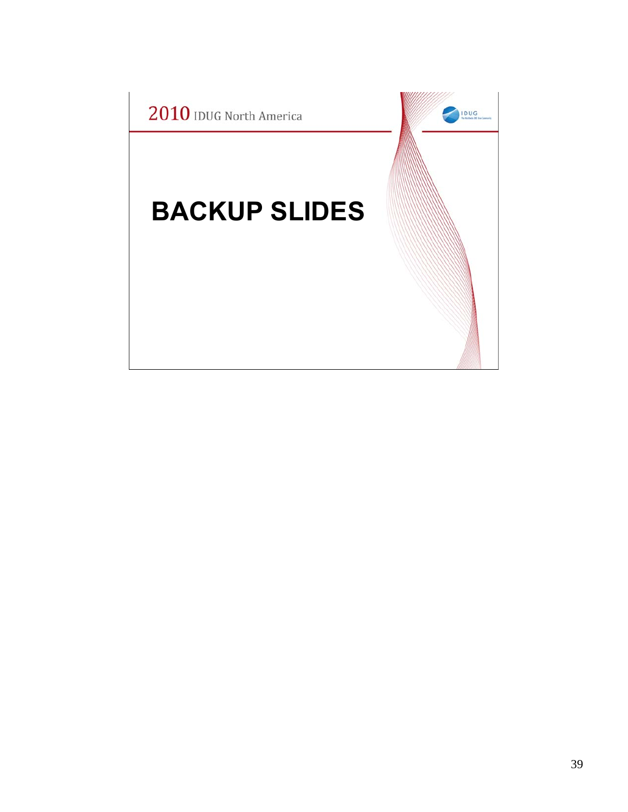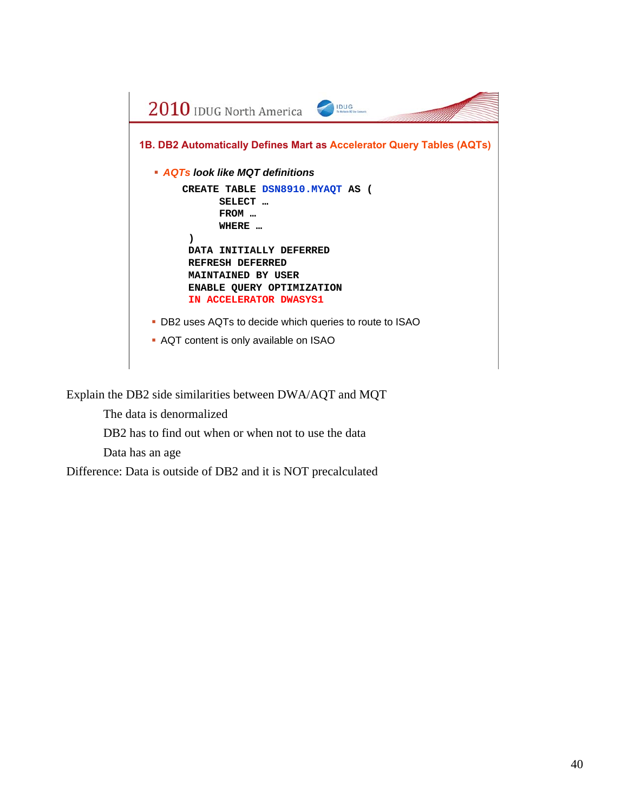

Explain the DB2 side similarities between DWA/AQT and MQT

The data is denormalized

DB2 has to find out when or when not to use the data

Data has an age

Difference: Data is outside of DB2 and it is NOT precalculated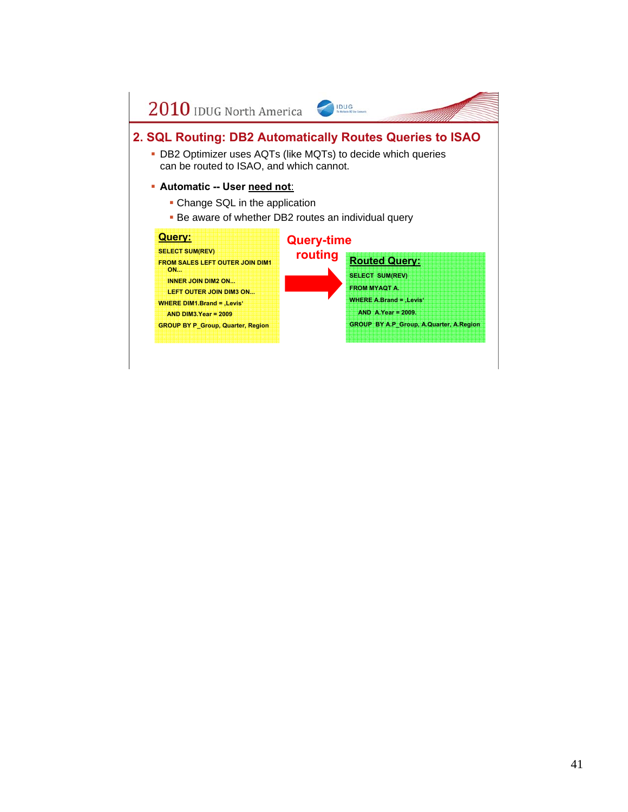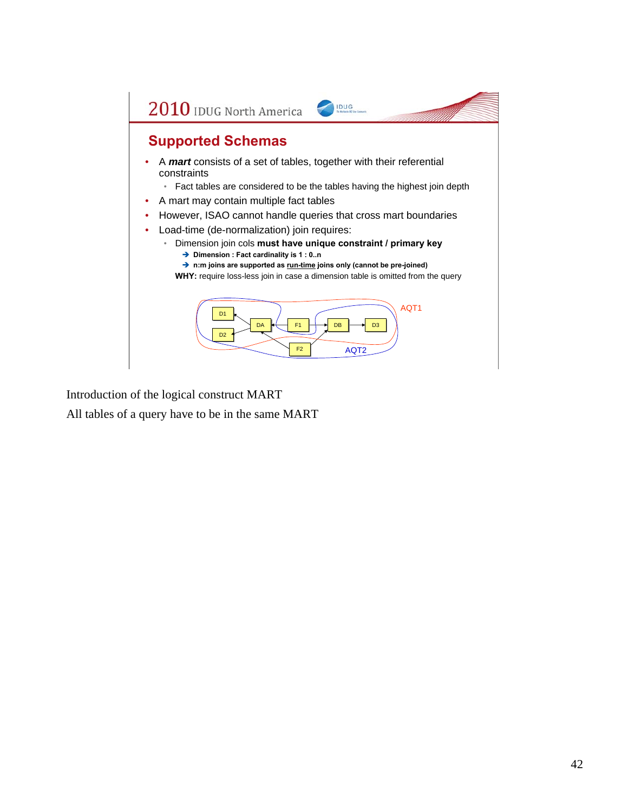

Introduction of the logical construct MART

All tables of a query have to be in the same MART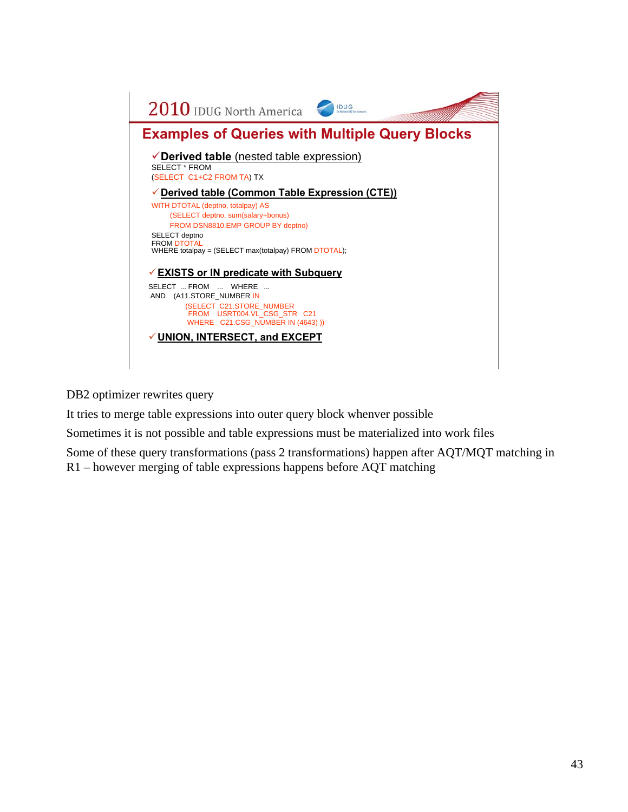

DB2 optimizer rewrites query

It tries to merge table expressions into outer query block whenver possible

Sometimes it is not possible and table expressions must be materialized into work files

Some of these query transformations (pass 2 transformations) happen after AQT/MQT matching in R1 – however merging of table expressions happens before AQT matching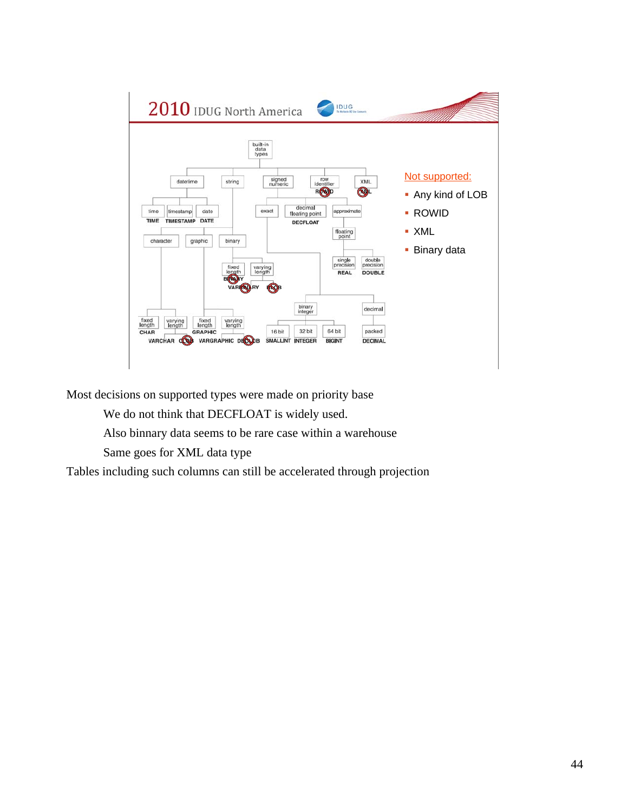

Most decisions on supported types were made on priority base

We do not think that DECFLOAT is widely used.

Also binnary data seems to be rare case within a warehouse

Same goes for XML data type

Tables including such columns can still be accelerated through projection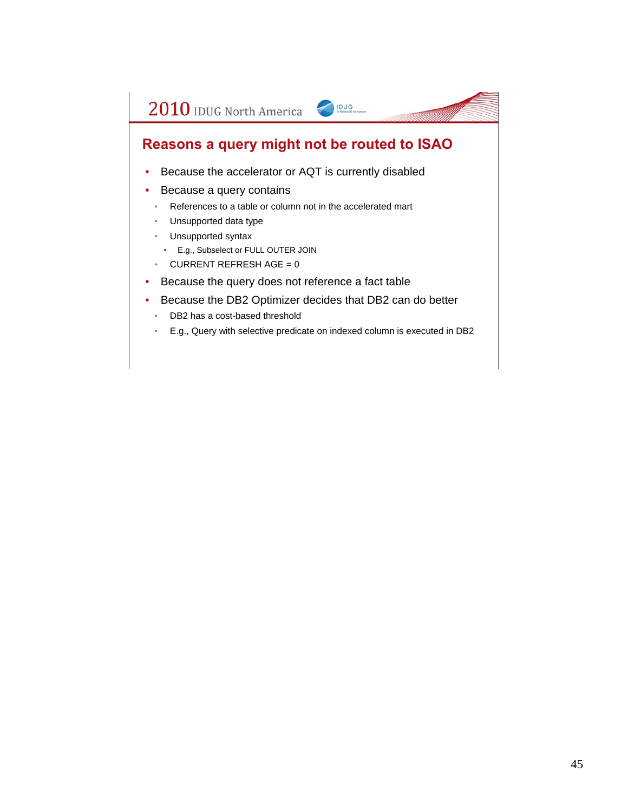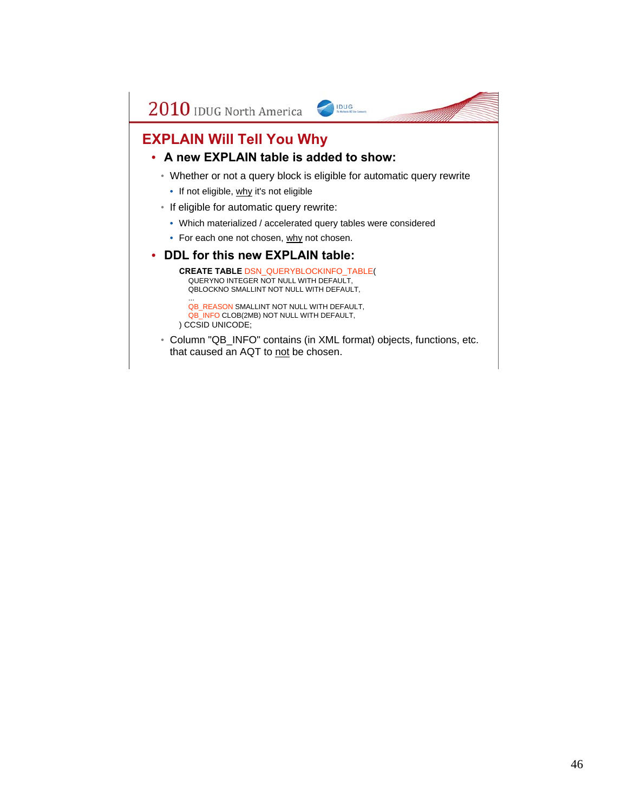